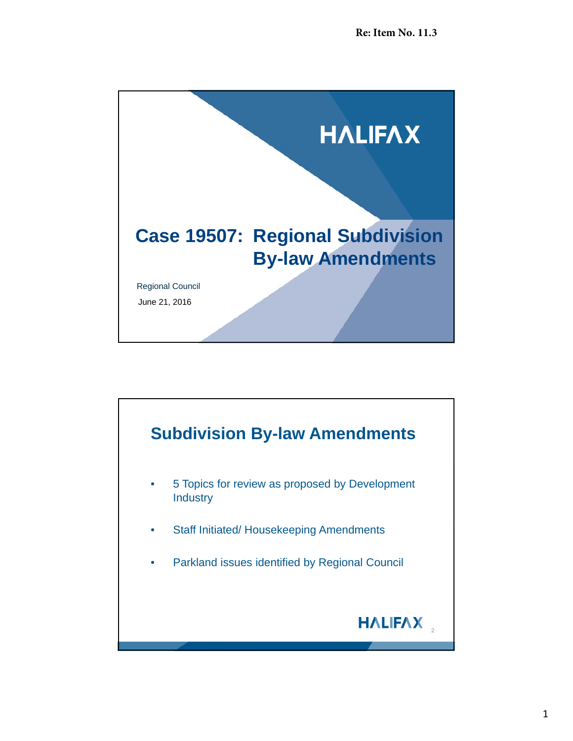

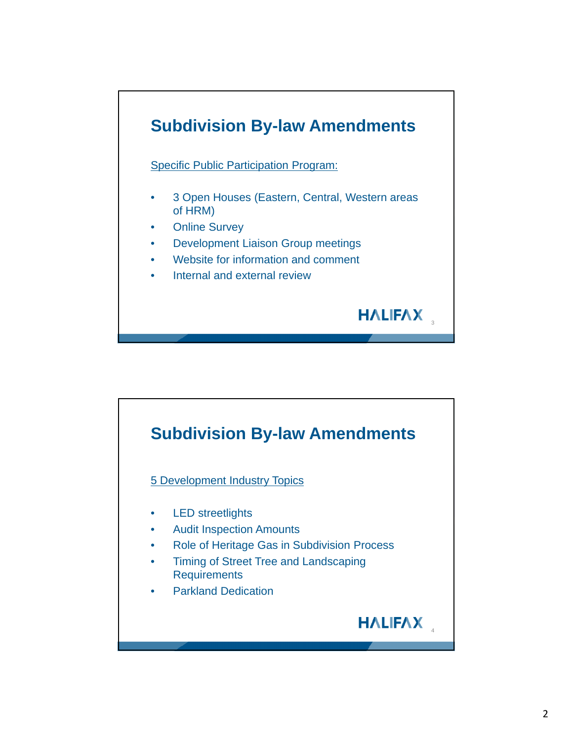

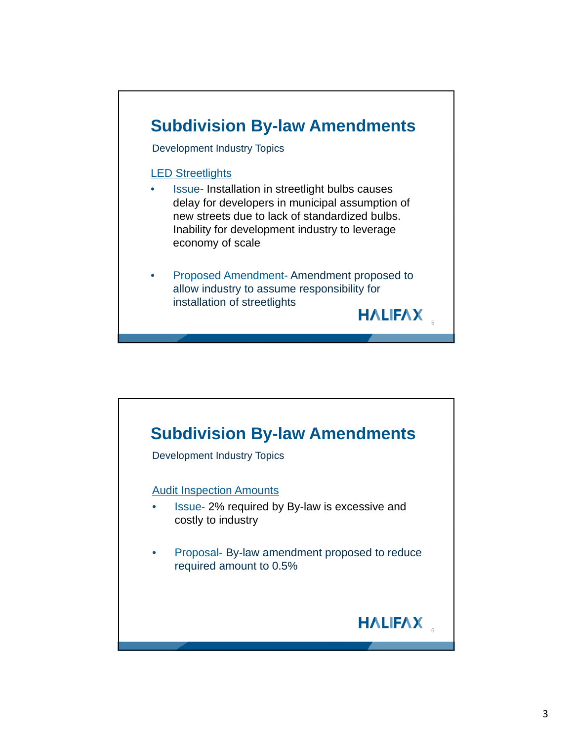

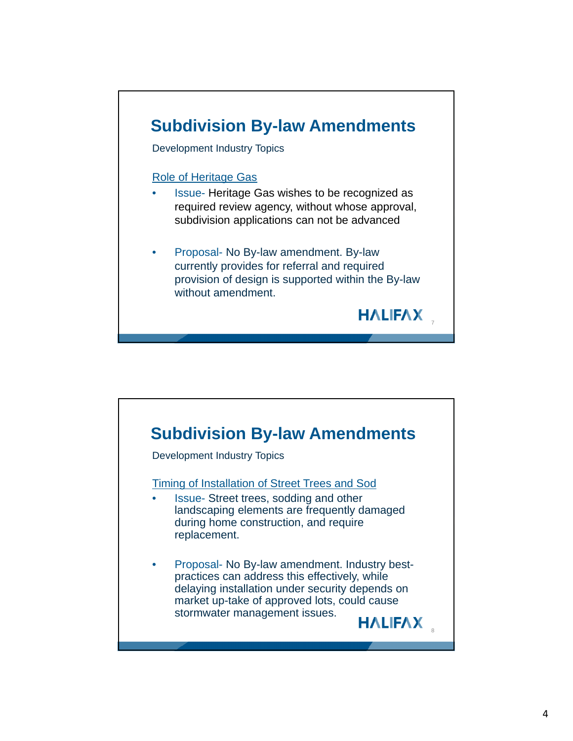

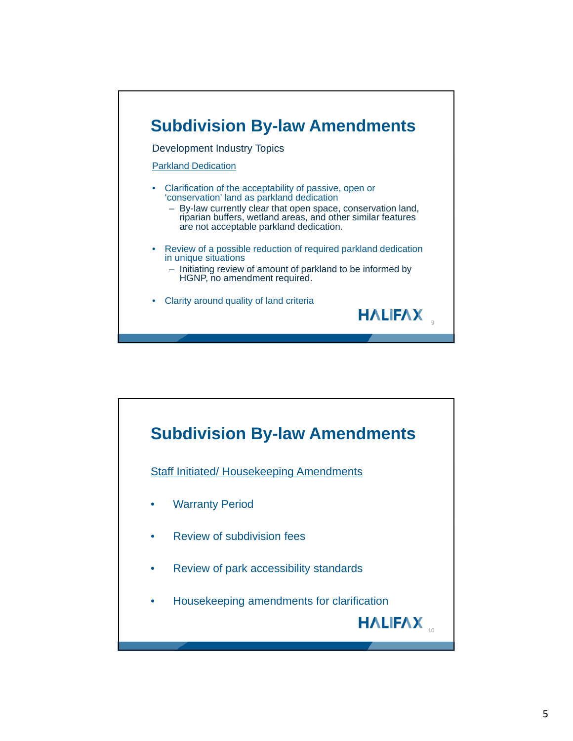

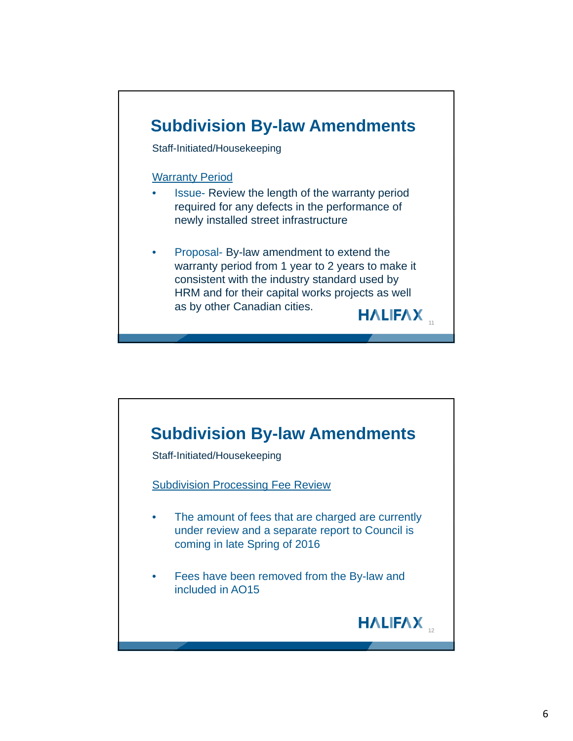

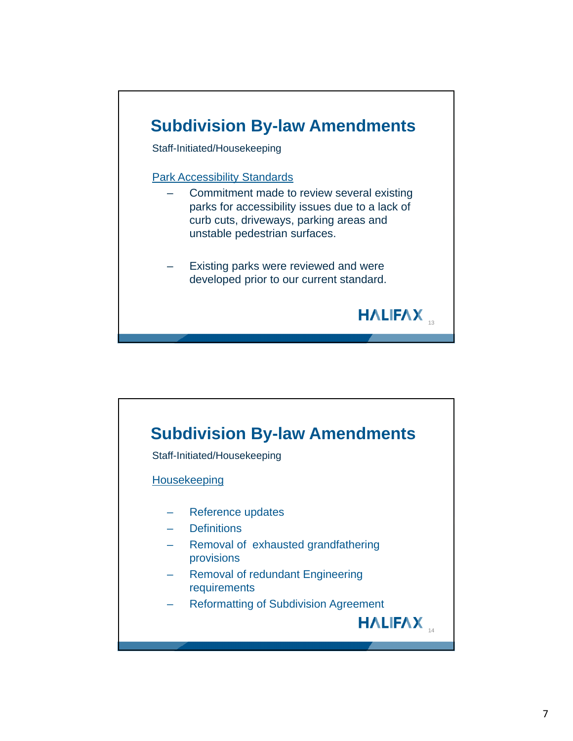

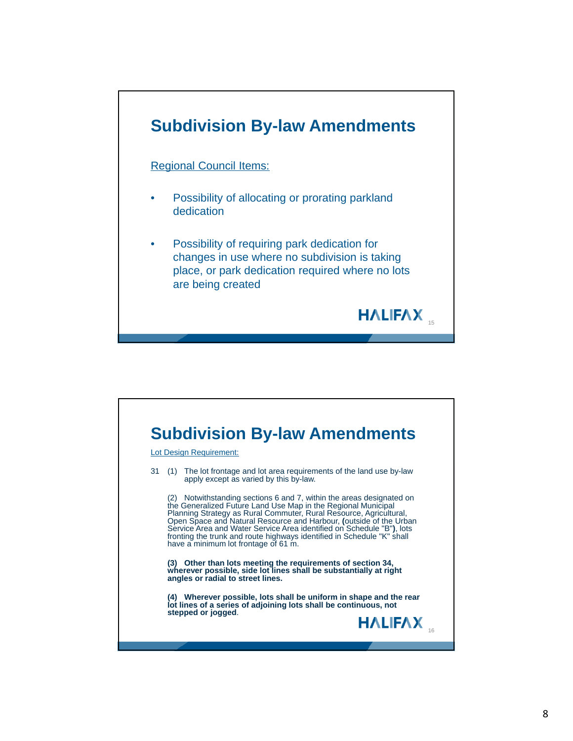